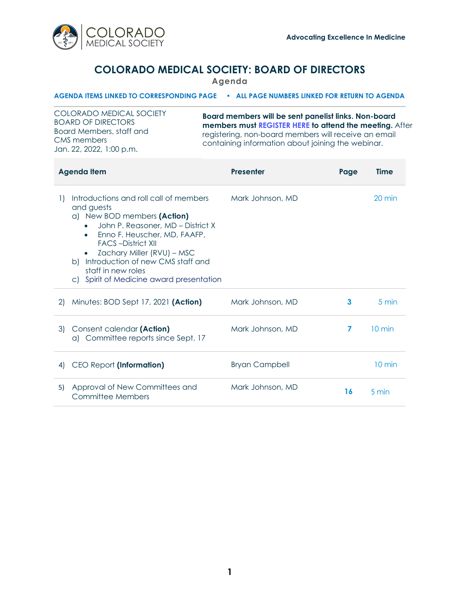

## **COLORADO MEDICAL SOCIETY: BOARD OF DIRECTORS**

**Agenda**

**AGENDA ITEMS LINKED TO CORRESPONDING PAGE • ALL PAGE NUMBERS LINKED FOR RETURN TO AGENDA**

COLORADO MEDICAL SOCIETY BOARD OF DIRECTORS Board Members, staff and CMS members Jan. 22, 2022, 1:00 p.m.

**Board members will be sent panelist links. Non-board members must REGISTER HERE to attend the meeting.** After registering, non-board members will receive an email [containing information about joining the webinar.](https://us02web.zoom.us/webinar/register/WN_LzGQK_1DQ_aPEOkDQi-FYA)

| <b>Agenda Item</b> |                                                                                                                                                                                                                                                                                                                                 | <b>Presenter</b>      | Page | <b>Time</b>      |
|--------------------|---------------------------------------------------------------------------------------------------------------------------------------------------------------------------------------------------------------------------------------------------------------------------------------------------------------------------------|-----------------------|------|------------------|
| 1)                 | Introductions and roll call of members<br>and guests<br>a) New BOD members (Action)<br>John P. Reasoner, MD - District X<br>Enno F. Heuscher, MD, FAAFP,<br><b>FACS-District XII</b><br>Zachary Miller (RVU) - MSC<br>Introduction of new CMS staff and<br>b)<br>staff in new roles<br>c) Spirit of Medicine award presentation | Mark Johnson, MD      |      | $20 \text{ min}$ |
| $\mathbf{2}$       | Minutes: BOD Sept 17, 2021 (Action)                                                                                                                                                                                                                                                                                             | Mark Johnson, MD      | 3    | 5 min            |
| 3)                 | Consent calendar (Action)<br>a) Committee reports since Sept. 17                                                                                                                                                                                                                                                                | Mark Johnson, MD      | 7    | $10 \text{ min}$ |
| 4)                 | CEO Report (Information)                                                                                                                                                                                                                                                                                                        | <b>Bryan Campbell</b> |      | $10 \text{ min}$ |
| 5)                 | Approval of New Committees and<br>Committee Members                                                                                                                                                                                                                                                                             | Mark Johnson, MD      | 16   | 5 min            |